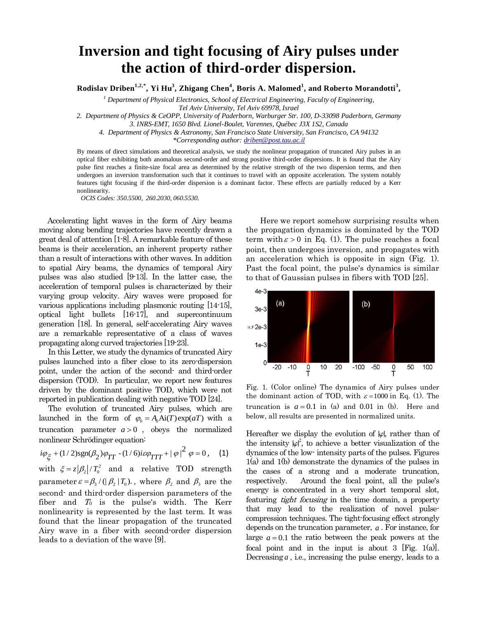## **Inversion and tight focusing of Airy pulses under the action of third-order dispersion.**

**Rodislav Driben1,2,\*, Yi Hu<sup>3</sup> , Zhigang Chen<sup>4</sup> , Boris A. Malomed<sup>1</sup> , and Roberto Morandotti<sup>3</sup> ,** 

*<sup>1</sup> Department of Physical Electronics, School of Electrical Engineering, Faculty of Engineering,*

*Tel Aviv University, Tel Aviv 69978, Israel* 

*2. Department of Physics & CeOPP, University of Paderborn, Warburger Str. 100, D-33098 Paderborn, Germany*

*3. INRS-EMT, 1650 Blvd. Lionel-Boulet, Varennes, Québec J3X 1S2, Canada*

*4. Department of Physics & Astronomy, San Francisco State University, San Francisco, CA 94132*

*\*Corresponding author[: driben@post.tau.ac.il](mailto:driben@post.tau.ac.il)*

By means of direct simulations and theoretical analysis, we study the nonlinear propagation of truncated Airy pulses in an optical fiber exhibiting both anomalous second-order and strong positive third-order dispersions. It is found that the Airy pulse first reaches a finite-size focal area as determined by the relative strength of the two dispersion terms, and then undergoes an inversion transformation such that it continues to travel with an opposite acceleration. The system notably features tight focusing if the third-order dispersion is a dominant factor. These effects are partially reduced by a Kerr nonlinearity.

*OCIS Codes: 350.5500, 260.2030, 060.5530.*

 Accelerating light waves in the form of Airy beams moving along bending trajectories have recently drawn a great deal of attention [1-8]. A remarkable feature of these beams is their acceleration, an inherent property rather than a result of interactions with other waves. In addition to spatial Airy beams, the dynamics of temporal Airy pulses was also studied [9-13]. In the latter case, the acceleration of temporal pulses is characterized by their varying group velocity. Airy waves were proposed for various applications including plasmonic routing [14-15], optical light bullets [16-17], and supercontinuum generation [18]. In general, self-accelerating Airy waves are a remarkable representative of a class of waves propagating along curved trajectories [19-23].

 In this Letter, we study the dynamics of truncated Airy pulses launched into a fiber close to its zero-dispersion point, under the action of the second- and third-order dispersion (TOD). In particular, we report new features driven by the dominant positive TOD, which were not reported in publication dealing with negative TOD [24].

 The evolution of truncated Airy pulses, which are launched in the form of  $\varphi_0 = A_0 \text{Ai}(T) \exp(aT)$  with a truncation parameter  $a > 0$ , obeys the normalized nonlinear Schrödinger equation:

$$
i\varphi_{\xi} + (1/2)sgn(\beta_2)\varphi_{TT} - (1/6)i\varepsilon\varphi_{TTT} + |\varphi|^2 \varphi = 0
$$
, (1)

with  $\xi = z |\beta_2| / T_0^2$  and a relative TOD strength parameter  $\varepsilon = \beta_3 / (|\beta_2| T_0)$ , where  $\beta_2$  and  $\beta_3$  are the second- and third-order dispersion parameters of the fiber and  $T_0$  is the pulse's width. The Kerr nonlinearity is represented by the last term. It was found that the linear propagation of the truncated Airy wave in a fiber with second-order dispersion leads to a deviation of the wave [9].

Here we report somehow surprising results when the propagation dynamics is dominated by the TOD term with  $\varepsilon > 0$  in Eq. (1). The pulse reaches a focal point, then undergoes inversion, and propagates with an acceleration which is opposite in sign (Fig. 1). Past the focal point, the pulse's dynamics is similar to that of Gaussian pulses in fibers with TOD [25].



Fig. 1. (Color online) The dynamics of Airy pulses under the dominant action of TOD, with  $\varepsilon = 1000$  in Eq. (1). The truncation is  $a = 0.1$  in (a) and  $0.01$  in (b). Here and below, all results are presented in normalized units.

Hereafter we display the evolution of  $|\varphi|$ , rather than of the intensity  $|\varphi|^2$ , to achieve a better visualization of the dynamics of the low- intensity parts of the pulses. Figures 1(a) and 1(b) demonstrate the dynamics of the pulses in the cases of a strong and a moderate truncation, respectively. Around the focal point, all the pulse's energy is concentrated in a very short temporal slot, featuring tight focusing in the time domain, a property that may lead to the realization of novel pulsecompression techniques. The tight-focusing effect strongly depends on the truncation parameter, *<sup>a</sup>* . For instance, for large  $a = 0.1$  the ratio between the peak powers at the focal point and in the input is about 3 [Fig. 1(a)]. Decreasing *a* , i.e., increasing the pulse energy, leads to a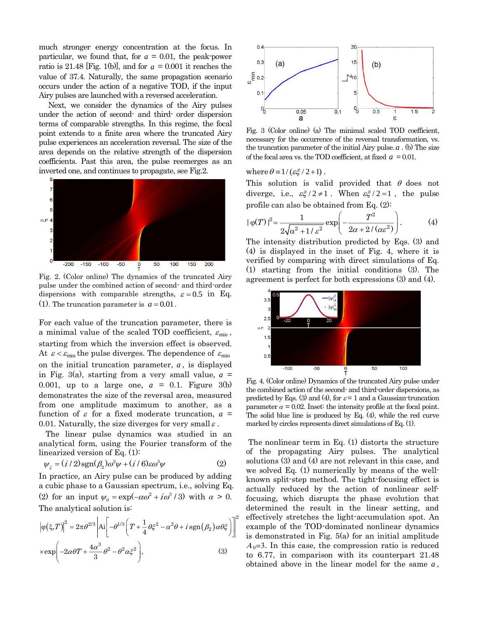much stronger energy concentration at the focus. In particular, we found that, for  $a = 0.01$ , the peak-power ratio is 21.48 [Fig. 1(b)], and for  $a = 0.001$  it reaches the value of 37.4. Naturally, the same propagation scenario occurs under the action of a negative TOD, if the input Airy pulses are launched with a reversed acceleration.

 Next, we consider the dynamics of the Airy pulses under the action of second- and third- order dispersion terms of comparable strengths. In this regime, the focal point extends to a finite area where the truncated Airy pulse experiences an acceleration reversal. The size of the area depends on the relative strength of the dispersion coefficients. Past this area, the pulse reemerges as an inverted one, and continues to propagate, see Fig.2.



Fig. 2. (Color online) The dynamics of the truncated Airy pulse under the combined action of second- and third-order dispersions with comparable strengths,  $\varepsilon = 0.5$  in Eq. (1). The truncation parameter is  $a = 0.01$ .

For each value of the truncation parameter, there is a minimal value of the scaled TOD coefficient,  $\varepsilon_{\min}$ , starting from which the inversion effect is observed. At  $\varepsilon < \varepsilon_{\min}$  the pulse diverges. The dependence of  $\varepsilon_{\min}$ on the initial truncation parameter, *<sup>a</sup>* , is displayed in Fig. 3(a), starting from a very small value,  $a =$ 0.001, up to a large one,  $a = 0.1$ . Figure 3(b) demonstrates the size of the reversal area, measured from one amplitude maximum to another, as a function of  $\varepsilon$  for a fixed moderate truncation,  $a =$ 0.01. Naturally, the size diverges for very small  $\varepsilon$ .

 The linear pulse dynamics was studied in an analytical form, using the Fourier transform of the linearized version of Eq. (1):

$$
\psi_{\xi} = (i/2)sgn(\beta_2)\omega^2\psi + (i/6)\varepsilon\omega^3\psi \tag{2}
$$

In practice, an Airy pulse can be produced by adding a cubic phase to a Gaussian spectrum, i.e., solving Eq. (2) for an input  $\psi_0 = \exp(-\alpha \omega^2 + i \omega^3 / 3)$  with  $\alpha > 0$ . The analytical solution is:

$$
\left|\varphi(\xi,T)\right|^2 = 2\pi\theta^{2/3} \left|\mathrm{Ai}\left[-\theta^{1/3}\left(T + \frac{1}{4}\theta\xi^2 - \alpha^2\theta + i\operatorname{sgn}(\beta_2)\alpha\theta\xi\right)\right]\right|^2
$$
  
× $\exp\left(-2\alpha\theta T + \frac{4\alpha^3}{3}\theta^2 - \theta^2\alpha\xi^2\right),$  (3)



Fig. 3 (Color online) (a) The minimal scaled TOD coefficient, necessary for the occurrence of the reversal transformation, vs. the truncation parameter of the initial Airy pulse.*<sup>a</sup>* . (b) The size of the focal area vs. the TOD coefficient, at fixed  $a = 0.01$ .

where  $\theta = 1/(\varepsilon \xi / 2 + 1)$ .

This solution is valid provided that  $\theta$  does not diverge, i.e.,  $\varepsilon \xi / 2 \neq 1$ . When  $\varepsilon \xi / 2 = 1$ , the pulse

profile can also be obtained from Eq. (2):  
\n
$$
|\varphi(T)|^2 = \frac{1}{2\sqrt{\alpha^2 + 1/\varepsilon^2}} \exp\left(-\frac{T^2}{2\alpha + 2/\left(\alpha\varepsilon^2\right)}\right).
$$
 (4)

The intensity distribution predicted by Eqs. (3) and (4) is displayed in the inset of Fig. 4, where it is verified by comparing with direct simulations of Eq. (1) starting from the initial conditions (3). The agreement is perfect for both expressions (3) and (4).



Fig. 4. (Color online) Dynamics of the truncated Airy pulse under the combined action of the second- and third-order dispersions, as predicted by Eqs. (3) and (4), for  $\varepsilon = 1$  and a Gaussian-truncation parameter  $\alpha = 0.02$ . Inset: the intensity profile at the focal point. The solid blue line is produced by Eq. (4), while the red curve marked by circles represents direct simulations of Eq. (1).

The nonlinear term in Eq. (1) distorts the structure of the propagating Airy pulses. The analytical solutions (3) and (4) are not relevant in this case, and we solved Eq. (1) numerically by means of the wellknown split-step method. The tight-focusing effect is actually reduced by the action of nonlinear selffocusing, which disrupts the phase evolution that determined the result in the linear setting, and effectively stretches the light-accumulation spot. An example of the TOD-dominated nonlinear dynamics is demonstrated in Fig. 5(a) for an initial amplitude  $A_0=3$ . In this case, the compression ratio is reduced to 6.77, in comparison with its counterpart 21.48 obtained above in the linear model for the same *a* ,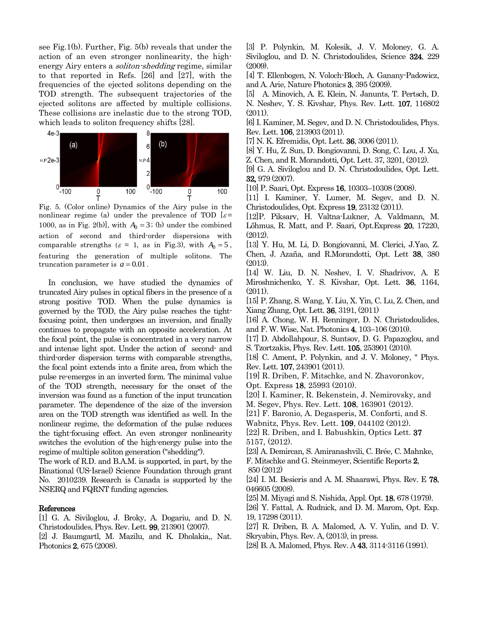see Fig.1(b). Further, Fig. 5(b) reveals that under the action of an even stronger nonlinearity, the highenergy Airy enters a *soliton-shedding* regime, similar to that reported in Refs. [26] and [27], with the frequencies of the ejected solitons depending on the TOD strength. The subsequent trajectories of the ejected solitons are affected by multiple collisions. These collisions are inelastic due to the strong TOD, which leads to soliton frequency shifts [28].



Fig. 5. (Color online) Dynamics of the Airy pulse in the nonlinear regime (a) under the prevalence of TOD  $\epsilon$ = 1000, as in Fig. 2(b), with  $A_0 = 3$ ; (b) under the combined action of second and third-order dispersions with comparable strengths ( $\varepsilon = 1$ , as in Fig.3), with  $A_0 = 5$ , featuring the generation of multiple solitons. The truncation parameter is  $a = 0.01$ .

 In conclusion, we have studied the dynamics of truncated Airy pulses in optical fibers in the presence of a strong positive TOD. When the pulse dynamics is governed by the TOD, the Airy pulse reaches the tightfocusing point, then undergoes an inversion, and finally continues to propagate with an opposite acceleration. At the focal point, the pulse is concentrated in a very narrow and intense light spot. Under the action of second- and third-order dispersion terms with comparable strengths, the focal point extends into a finite area, from which the pulse re-emerges in an inverted form. The minimal value of the TOD strength, necessary for the onset of the inversion was found as a function of the input truncation parameter. The dependence of the size of the inversion area on the TOD strength was identified as well. In the nonlinear regime, the deformation of the pulse reduces the tight-focusing effect. An even stronger nonlinearity switches the evolution of the high-energy pulse into the regime of multiple soliton generation ("shedding").

The work of R.D. and B.A.M. is supported, in part, by the Binational (US-Israel) Science Foundation through grant No. 2010239. Research is Canada is supported by the NSERQ and FQRNT funding agencies.

## References

[1] G. A. Siviloglou, J. Broky, A. Dogariu, and D. N. Christodoulides, Phys. Rev. Lett. 99, 213901 (2007).

[2] J. Baumgartl, M. Mazilu, and K. Dholakia,, Nat. Photonics 2, 675 (2008).

[3] P. Polynkin, M. Kolesik, J. V. Moloney, G. A. Siviloglou, and D. N. Christodoulides, Science 324, 229 (2009).

[4] T. Ellenbogen, N. Voloch-Bloch, A. Ganany-Padowicz, and A. Arie, Nature Photonics 3, 395 (2009).

[5] A. Minovich, A. E. Klein, N. Janunts, T. Pertsch, D. N. Neshev, Y. S. Kivshar, Phys. Rev. Lett. 107, 116802 (2011).

[6] I. Kaminer, M. Segev, and D. N. Christodoulides, Phys. Rev. Lett. 106, 213903 (2011).

[7] N. K. Efremidis, Opt. Lett. 36, 3006 (2011).

[8] Y. Hu, Z. Sun, D. Bongiovanni, D. Song, C. Lou, J. Xu, Z. Chen, and R. Morandotti, Opt. Lett. 37, 3201, (2012).

[9] G. A. Siviloglou and D. N. Christodoulides, Opt. Lett. 32, 979 (2007).

[10] P. Saari, Opt. Express 16, 10303–10308 (2008).

[11] I. Kaminer, Y. Lumer, M. Segev, and D. N. Christodoulides, Opt. Express 19, 23132 (2011).

[12]P. Piksarv, H. Valtna-Lukner, A. Valdmann, M. Lõhmus, R. Matt, and P. Saari, Opt.Express 20, 17220, (2012).

[13] Y. Hu, M. Li, D. Bongiovanni, M. Clerici, J.Yao, Z. Chen, J. Azaña, and R.Morandotti, Opt. Lett 38, 380 (2013).

[14] W. Liu, D. N. Neshev, I. V. Shadrivov, A. E Miroshnichenko, Y. S. Kivshar, Opt. Lett. 36, 1164, (2011).

[15] P. Zhang, S. Wang, Y. Liu, X. Yin, C. Lu, Z. Chen, and Xiang Zhang, Opt. Lett. 36, 3191, (2011)

[16] A. Chong, W. H. Renninger, D. N. Christodoulides, and F. W. Wise, Nat. Photonics 4, 103–106 (2010).

[17] D. Abdollahpour, S. Suntsov, D. G. Papazoglou, and S. Tzortzakis, Phys. Rev. Lett. 105, 253901 (2010).

[18] C. Ament, P. Polynkin, and J. V. Moloney, " Phys. Rev. Lett. 107, 243901 (2011).

[19] R. Driben, F. Mitschke, and N. Zhavoronkov, Opt. Express 18, 25993 (2010).

[20] I. Kaminer, R. Bekenstein, J. Nemirovsky, and

M. Segev, Phys. Rev. Lett. 108, 163901 (2012).

[21] F. Baronio, A. Degasperis, M. Conforti, and S.

Wabnitz, Phys. Rev. Lett. 109, 044102 (2012).

[22] R. Driben, and I. Babushkin, Optics Lett. 37 5157, (2012).

[23] A. Demircan, S. Amiranashvili, C. Brée, C. Mahnke, F. Mitschke and G. Steinmeyer, Scientific Reports 2, 850 (2012)

[24] I. M. Besieris and A. M. Shaarawi, Phys. Rev. E 78, 046605 (2008).

[25] M. Miyagi and S. Nishida, Appl. Opt. 18, 678 (1979).

[26] Y. Fattal, A. Rudnick, and D. M. Marom, Opt. Exp. 19, 17298 (2011).

[27] R. Driben, B. A. Malomed, A. V. Yulin, and D. V. Skryabin, Phys. Rev. A, (2013), in press.

[28] B. A. Malomed, Phys. Rev. A 43, 3114-3116 (1991).